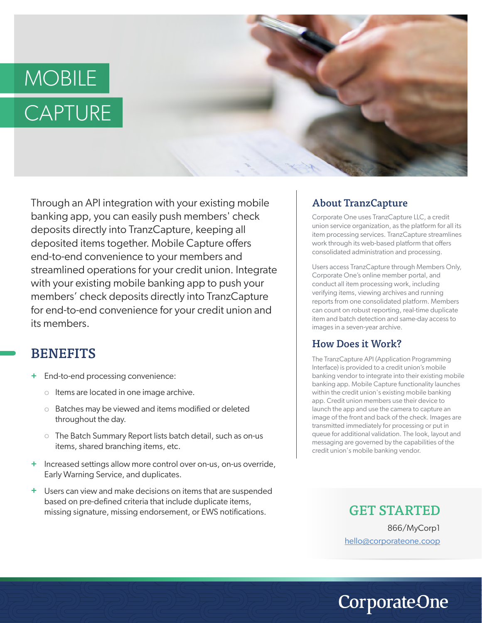# MOBILE **CAPTURE**



Through an API integration with your existing mobile  $\blacksquare$  About TranzCapture banking app, you can easily push members' check deposits directly into TranzCapture, keeping all deposited items together. Mobile Capture offers end-to-end convenience to your members and streamlined operations for your credit union. Integrate with your existing mobile banking app to push your members' check deposits directly into TranzCapture for end-to-end convenience for your credit union and its members.

## **BENEFITS**

- **+** End-to-end processing convenience:
	- o Items are located in one image archive.
	- o Batches may be viewed and items modified or deleted throughout the day.
	- o The Batch Summary Report lists batch detail, such as on-us items, shared branching items, etc.
- + Increased settings allow more control over on-us, on-us override, Early Warning Service, and duplicates.
- Users can view and make decisions on items that are suspended **+** based on pre-defined criteria that include duplicate items, missing signature, missing endorsement, or EWS notifications.

Corporate One uses TranzCapture LLC, a credit union service organization, as the platform for all its item processing services. TranzCapture streamlines work through its web-based platform that offers consolidated administration and processing.

Users access TranzCapture through Members Only, Corporate One's online member portal, and conduct all item processing work, including verifying items, viewing archives and running reports from one consolidated platform. Members can count on robust reporting, real-time duplicate item and batch detection and same-day access to images in a seven-year archive.

### How Does it Work?

The TranzCapture API (Application Programming Interface) is provided to a credit union's mobile banking vendor to integrate into their existing mobile banking app. Mobile Capture functionality launches within the credit union's existing mobile banking app. Credit union members use their device to launch the app and use the camera to capture an image of the front and back of the check. Images are transmitted immediately for processing or put in queue for additional validation. The look, layout and messaging are governed by the capabilities of the credit union's mobile banking vendor.

GET STARTED

866/MyCorp1 hello@corporateone.coop

**CorporateOne**